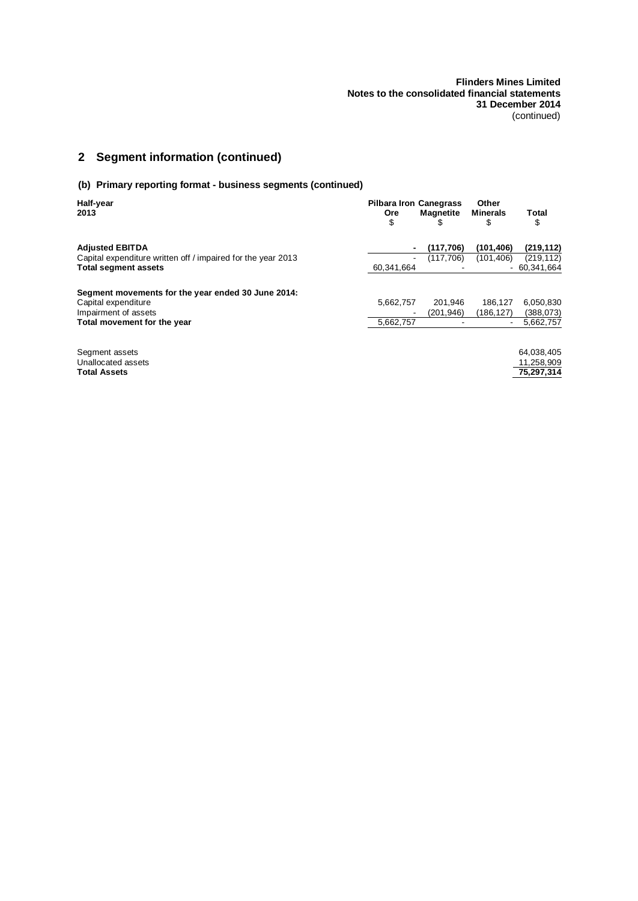# **2 Segment information (continued)**

### **(b) Primary reporting format - business segments (continued)**

| Half-year<br>2013                                            | <b>Pilbara Iron Canegrass</b><br><b>Ore</b><br>\$ | Magnetite<br>S | Other<br><b>Minerals</b><br>\$ | Total<br>\$   |
|--------------------------------------------------------------|---------------------------------------------------|----------------|--------------------------------|---------------|
| <b>Adjusted EBITDA</b>                                       |                                                   | (117, 706)     | (101, 406)                     | (219, 112)    |
| Capital expenditure written off / impaired for the year 2013 |                                                   | (117,706)      | (101, 406)                     | (219, 112)    |
| <b>Total segment assets</b>                                  | 60,341,664                                        |                |                                | $-60.341.664$ |
| Segment movements for the year ended 30 June 2014:           |                                                   |                |                                |               |
| Capital expenditure                                          | 5,662,757                                         | 201.946        | 186.127                        | 6,050,830     |
| Impairment of assets                                         |                                                   | (201.946)      | (186,127)                      | (388, 073)    |
| Total movement for the year                                  | 5,662,757                                         |                |                                | 5,662,757     |
| Segment assets                                               |                                                   |                |                                | 64,038,405    |
| Unallocated assets                                           |                                                   |                |                                | 11.258.909    |
| <b>Total Assets</b>                                          |                                                   |                |                                | 75.297.314    |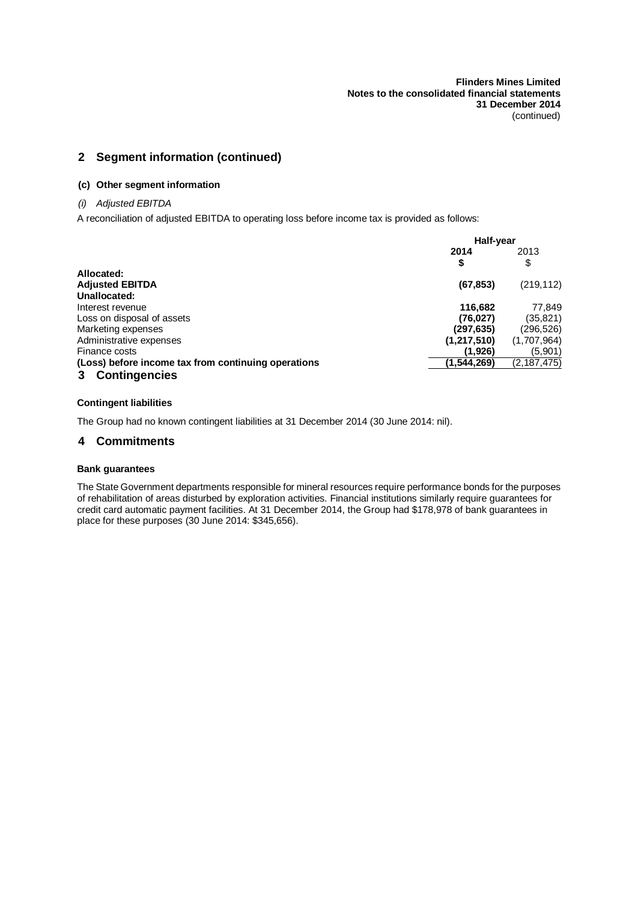# **2 Segment information (continued)**

#### **(c) Other segment information**

#### *(i) Adjusted EBITDA*

A reconciliation of adjusted EBITDA to operating loss before income tax is provided as follows:

|                                                     | Half-year     |               |
|-----------------------------------------------------|---------------|---------------|
|                                                     | 2014<br>\$    | 2013<br>\$    |
| Allocated:                                          |               |               |
| <b>Adjusted EBITDA</b>                              | (67, 853)     | (219, 112)    |
| Unallocated:                                        |               |               |
| Interest revenue                                    | 116,682       | 77.849        |
| Loss on disposal of assets                          | (76, 027)     | (35, 821)     |
| Marketing expenses                                  | (297,635)     | (296,526)     |
| Administrative expenses                             | (1, 217, 510) | (1,707,964)   |
| Finance costs                                       | (1,926)       | (5,901)       |
| (Loss) before income tax from continuing operations | (1, 544, 269) | (2, 187, 475) |
| <b>Contingencies</b>                                |               |               |

#### **Contingent liabilities**

The Group had no known contingent liabilities at 31 December 2014 (30 June 2014: nil).

#### **4 Commitments**

#### **Bank guarantees**

The State Government departments responsible for mineral resources require performance bonds for the purposes of rehabilitation of areas disturbed by exploration activities. Financial institutions similarly require guarantees for credit card automatic payment facilities. At 31 December 2014, the Group had \$178,978 of bank guarantees in place for these purposes (30 June 2014: \$345,656).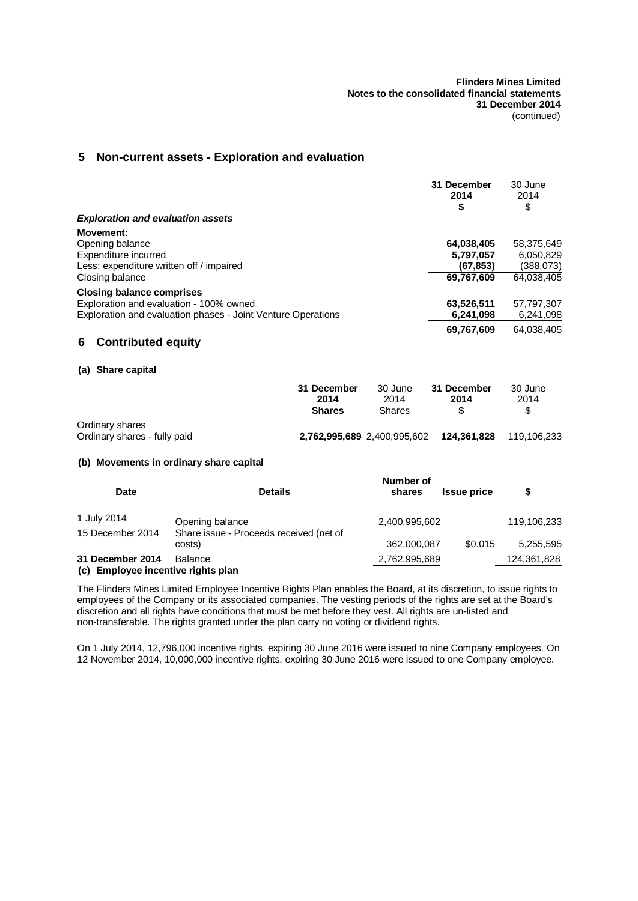# **5 Non-current assets - Exploration and evaluation**

|                                                                                                                                             |                                      |                             | 31 December<br>2014<br>\$                         | 30 June<br>2014<br>\$                              |
|---------------------------------------------------------------------------------------------------------------------------------------------|--------------------------------------|-----------------------------|---------------------------------------------------|----------------------------------------------------|
| <b>Exploration and evaluation assets</b>                                                                                                    |                                      |                             |                                                   |                                                    |
| <b>Movement:</b><br>Opening balance<br>Expenditure incurred<br>Less: expenditure written off / impaired<br>Closing balance                  |                                      |                             | 64,038,405<br>5,797,057<br>(67,853)<br>69,767,609 | 58,375,649<br>6,050,829<br>(388,073)<br>64.038.405 |
| <b>Closing balance comprises</b><br>Exploration and evaluation - 100% owned<br>Exploration and evaluation phases - Joint Venture Operations |                                      |                             | 63,526,511<br>6,241,098                           | 57,797,307<br>6,241,098                            |
| <b>Contributed equity</b><br>6                                                                                                              |                                      |                             | 69,767,609                                        | 64,038,405                                         |
| (a) Share capital                                                                                                                           |                                      |                             |                                                   |                                                    |
|                                                                                                                                             | 31 December<br>2014<br><b>Shares</b> | 30 June<br>2014<br>Shares   | 31 December<br>2014<br>\$                         | 30 June<br>2014<br>\$                              |
| Ordinary shares<br>Ordinary shares - fully paid                                                                                             |                                      | 2,762,995,689 2,400,995,602 | 124,361,828                                       | 119,106,233                                        |
| (b) Movements in ordinary share capital                                                                                                     |                                      |                             |                                                   |                                                    |
| <b>Date</b>                                                                                                                                 | <b>Details</b>                       | Number of<br>shares         | <b>Issue price</b>                                | \$                                                 |

| 1 July 2014<br>15 December 2014    | Opening balance<br>Share issue - Proceeds received (net of | 2.400.995.602 |         | 119.106.233 |
|------------------------------------|------------------------------------------------------------|---------------|---------|-------------|
|                                    | costs)                                                     | 362,000,087   | \$0.015 | 5,255,595   |
| 31 December 2014                   | Balance                                                    | 2,762,995,689 |         | 124,361,828 |
| (c) Employee incentive rights plan |                                                            |               |         |             |

The Flinders Mines Limited Employee Incentive Rights Plan enables the Board, at its discretion, to issue rights to employees of the Company or its associated companies. The vesting periods of the rights are set at the Board's discretion and all rights have conditions that must be met before they vest. All rights are un-listed and non-transferable. The rights granted under the plan carry no voting or dividend rights.

On 1 July 2014, 12,796,000 incentive rights, expiring 30 June 2016 were issued to nine Company employees. On 12 November 2014, 10,000,000 incentive rights, expiring 30 June 2016 were issued to one Company employee.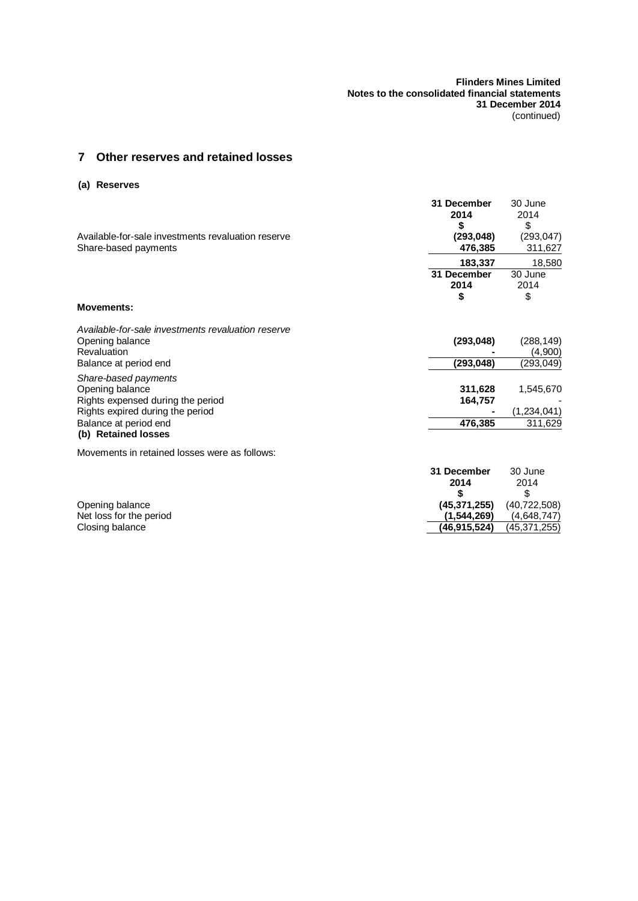# **7 Other reserves and retained losses**

### **(a) Reserves**

| Available-for-sale investments revaluation reserve<br>Share-based payments                                                                                       | 31 December<br>2014<br>S<br>(293, 048)<br>476,385 | 30 June<br>2014<br>\$<br>(293, 047)<br>311,627 |
|------------------------------------------------------------------------------------------------------------------------------------------------------------------|---------------------------------------------------|------------------------------------------------|
|                                                                                                                                                                  | 183,337                                           | 18,580                                         |
|                                                                                                                                                                  | 31 December<br>2014<br>S                          | 30 June<br>2014<br>\$                          |
| <b>Movements:</b>                                                                                                                                                |                                                   |                                                |
| Available-for-sale investments revaluation reserve                                                                                                               |                                                   |                                                |
| Opening balance<br>Revaluation                                                                                                                                   | (293, 048)                                        | (288,149)<br>(4,900)                           |
| Balance at period end                                                                                                                                            | (293, 048)                                        | (293, 049)                                     |
| Share-based payments<br>Opening balance<br>Rights expensed during the period<br>Rights expired during the period<br>Balance at period end<br>(b) Retained losses | 311,628<br>164,757<br>476,385                     | 1,545,670<br>(1,234,041)<br>311,629            |
| Movements in retained losses were as follows:                                                                                                                    |                                                   |                                                |

|                         | 31 December    | 30 June        |
|-------------------------|----------------|----------------|
|                         | 2014           | 2014           |
|                         |                |                |
| Opening balance         | (45.371.255)   | (40, 722, 508) |
| Net loss for the period | (1.544.269)    | (4.648.747)    |
| Closing balance         | (46, 915, 524) | (45, 371, 255) |
|                         |                |                |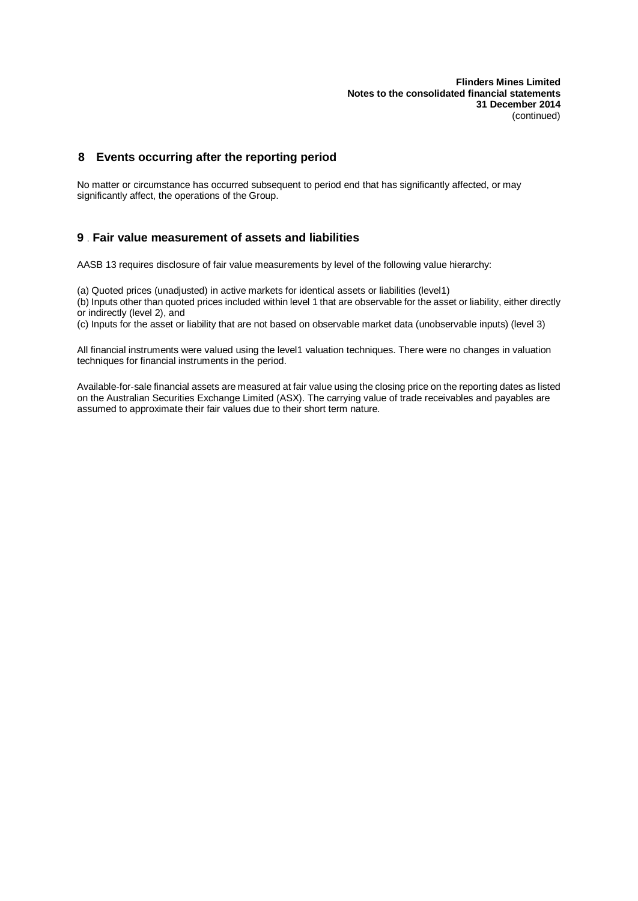**Flinders Mines Limited Notes to the consolidated financial statements 31 December 2014** (continued)

### **8 Events occurring after the reporting period**

No matter or circumstance has occurred subsequent to period end that has significantly affected, or may significantly affect, the operations of the Group.

### **9** . **Fair value measurement of assets and liabilities**

AASB 13 requires disclosure of fair value measurements by level of the following value hierarchy:

(a) Quoted prices (unadjusted) in active markets for identical assets or liabilities (level1) (b) Inputs other than quoted prices included within level 1 that are observable for the asset or liability, either directly or indirectly (level 2), and

(c) Inputs for the asset or liability that are not based on observable market data (unobservable inputs) (level 3)

All financial instruments were valued using the level1 valuation techniques. There were no changes in valuation techniques for financial instruments in the period.

Available-for-sale financial assets are measured at fair value using the closing price on the reporting dates as listed on the Australian Securities Exchange Limited (ASX). The carrying value of trade receivables and payables are assumed to approximate their fair values due to their short term nature.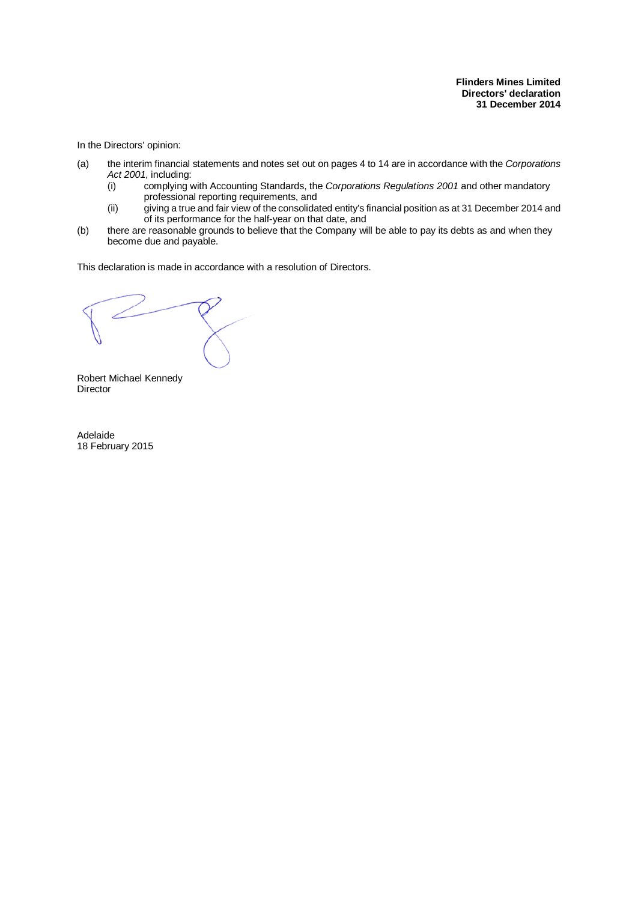In the Directors' opinion:

- (a) the interim financial statements and notes set out on pages 4 to 14 are in accordance with the *Corporations Act 2001*, including:
	- (i) complying with Accounting Standards, the *Corporations Regulations 2001* and other mandatory professional reporting requirements, and
	- (ii) giving a true and fair view of the consolidated entity's financial position as at 31 December 2014 and of its performance for the half-year on that date, and
- (b) there are reasonable grounds to believe that the Company will be able to pay its debts as and when they become due and payable.

This declaration is made in accordance with a resolution of Directors.

Robert Michael Kennedy Director

Adelaide 18 February 2015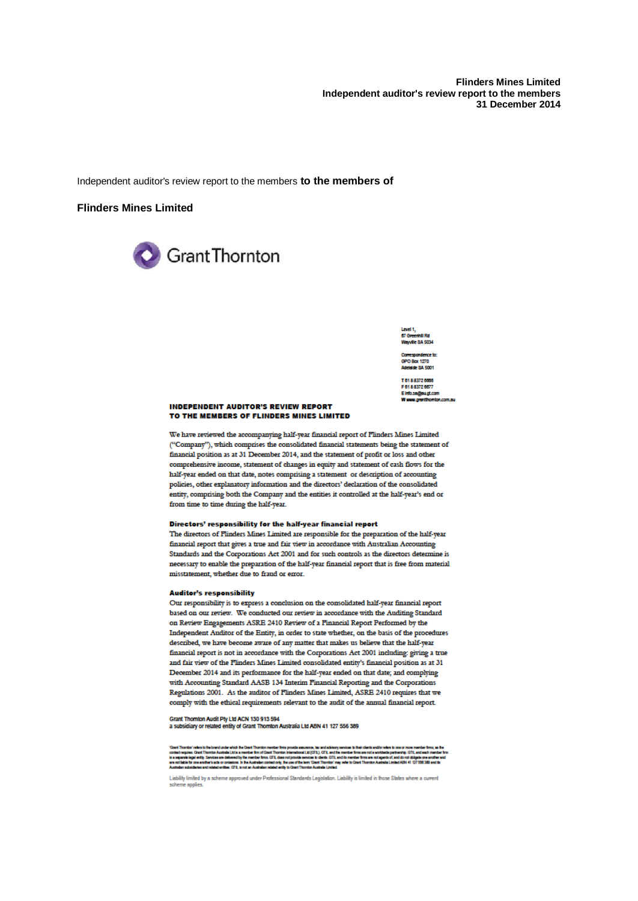**Flinders Mines Limited** Independent auditor's review report to the members 31 December 2014



nhii Rd<br>Sa sma

GPO Box 1270 ialde 8A 5001

T 61 8 8372 6666 F 61 8 8372 6677 Einfo.se@eugt.com

#### **INDEPENDENT AUDITOR'S REVIEW REPORT** TO THE MEMBERS OF FLINDERS MINES LIMITED

We have reviewed the accompanying half-year financial report of Flinders Mines Limited ("Company"), which comprises the consolidated financial statements being the statement of financial position as at 31 December 2014, and the statement of profit or loss and other comprehensive income, statement of changes in equity and statement of cash flows for the half-year ended on that date, notes comprising a statement or description of accounting policies, other explanatory information and the directors' declaration of the consolidated entity, comprising both the Company and the entities it controlled at the half-year's end or from time to time during the half-year.

#### Directors' responsibility for the half-year financial report

The directors of Flinders Mines Limited are responsible for the preparation of the half-year financial report that gives a true and fair view in accordance with Australian Accounting Standards and the Corporations Act 2001 and for such controls as the directors determine is necessary to enable the preparation of the half-year financial report that is free from material misstatement, whether due to fraud or error.

#### **Auditor's responsibility**

Our responsibility is to express a conclusion on the consolidated half-year financial report based on our review. We conducted our review in accordance with the Auditing Standard on Review Engagements ASRE 2410 Review of a Financial Report Performed by the Independent Auditor of the Entity, in order to state whether, on the basis of the procedures described, we have become aware of any matter that makes us believe that the half-year financial report is not in accordance with the Corporations Act 2001 including: giving a true and fair view of the Flinders Mines Limited consolidated entity's financial position as at 31 December 2014 and its performance for the half-year ended on that date; and complying with Accounting Standard AASB 134 Interim Financial Reporting and the Corporations Regulations 2001. As the auditor of Flinders Mines Limited, ASRE 2410 requires that we comply with the ethical requirements relevant to the audit of the annual financial report.

Grant Thomion Audit Ply Lid ACN 130 913 594<br>a subsidiary or related entity of Grant Thomion Australia Ltd ABN 41 127 556 389

'Gad Thombrinke bite bradude which be Gad Thombo membrims powis assumes, hand advisory awders their backrotes a<br>contempters. Card Thombu Authin Life a membring the controlled with the Card of the membring and and the conte

Liability limited by a scheme approved under Professional Standards Legislation. Liability is limited in those States where a current scheme applies